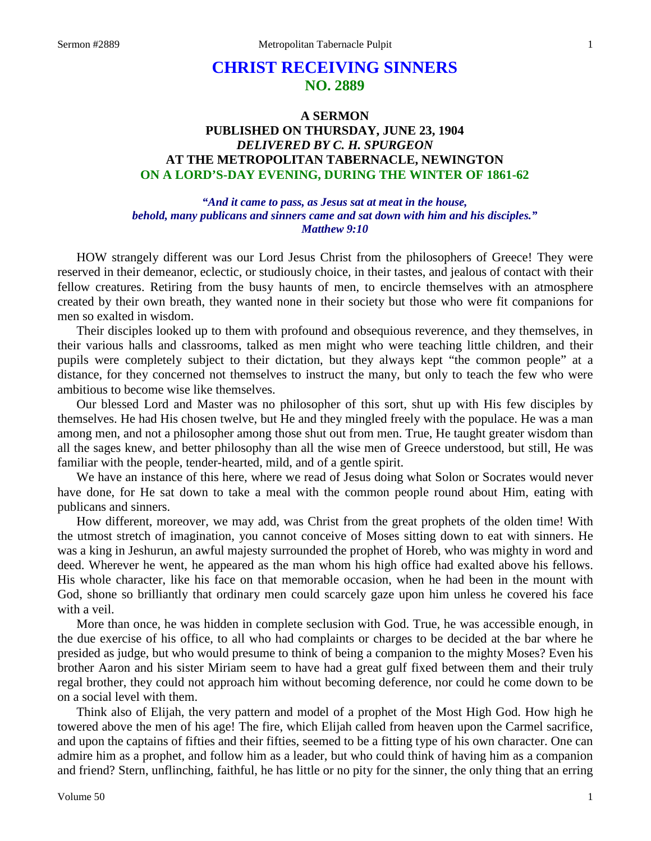# **CHRIST RECEIVING SINNERS NO. 2889**

## **A SERMON PUBLISHED ON THURSDAY, JUNE 23, 1904** *DELIVERED BY C. H. SPURGEON* **AT THE METROPOLITAN TABERNACLE, NEWINGTON ON A LORD'S-DAY EVENING, DURING THE WINTER OF 1861-62**

## *"And it came to pass, as Jesus sat at meat in the house, behold, many publicans and sinners came and sat down with him and his disciples." Matthew 9:10*

HOW strangely different was our Lord Jesus Christ from the philosophers of Greece! They were reserved in their demeanor, eclectic, or studiously choice, in their tastes, and jealous of contact with their fellow creatures. Retiring from the busy haunts of men, to encircle themselves with an atmosphere created by their own breath, they wanted none in their society but those who were fit companions for men so exalted in wisdom.

Their disciples looked up to them with profound and obsequious reverence, and they themselves, in their various halls and classrooms, talked as men might who were teaching little children, and their pupils were completely subject to their dictation, but they always kept "the common people" at a distance, for they concerned not themselves to instruct the many, but only to teach the few who were ambitious to become wise like themselves.

Our blessed Lord and Master was no philosopher of this sort, shut up with His few disciples by themselves. He had His chosen twelve, but He and they mingled freely with the populace. He was a man among men, and not a philosopher among those shut out from men. True, He taught greater wisdom than all the sages knew, and better philosophy than all the wise men of Greece understood, but still, He was familiar with the people, tender-hearted, mild, and of a gentle spirit.

We have an instance of this here, where we read of Jesus doing what Solon or Socrates would never have done, for He sat down to take a meal with the common people round about Him, eating with publicans and sinners.

How different, moreover, we may add, was Christ from the great prophets of the olden time! With the utmost stretch of imagination, you cannot conceive of Moses sitting down to eat with sinners. He was a king in Jeshurun, an awful majesty surrounded the prophet of Horeb, who was mighty in word and deed. Wherever he went, he appeared as the man whom his high office had exalted above his fellows. His whole character, like his face on that memorable occasion, when he had been in the mount with God, shone so brilliantly that ordinary men could scarcely gaze upon him unless he covered his face with a veil.

More than once, he was hidden in complete seclusion with God. True, he was accessible enough, in the due exercise of his office, to all who had complaints or charges to be decided at the bar where he presided as judge, but who would presume to think of being a companion to the mighty Moses? Even his brother Aaron and his sister Miriam seem to have had a great gulf fixed between them and their truly regal brother, they could not approach him without becoming deference, nor could he come down to be on a social level with them.

Think also of Elijah, the very pattern and model of a prophet of the Most High God. How high he towered above the men of his age! The fire, which Elijah called from heaven upon the Carmel sacrifice, and upon the captains of fifties and their fifties, seemed to be a fitting type of his own character. One can admire him as a prophet, and follow him as a leader, but who could think of having him as a companion and friend? Stern, unflinching, faithful, he has little or no pity for the sinner, the only thing that an erring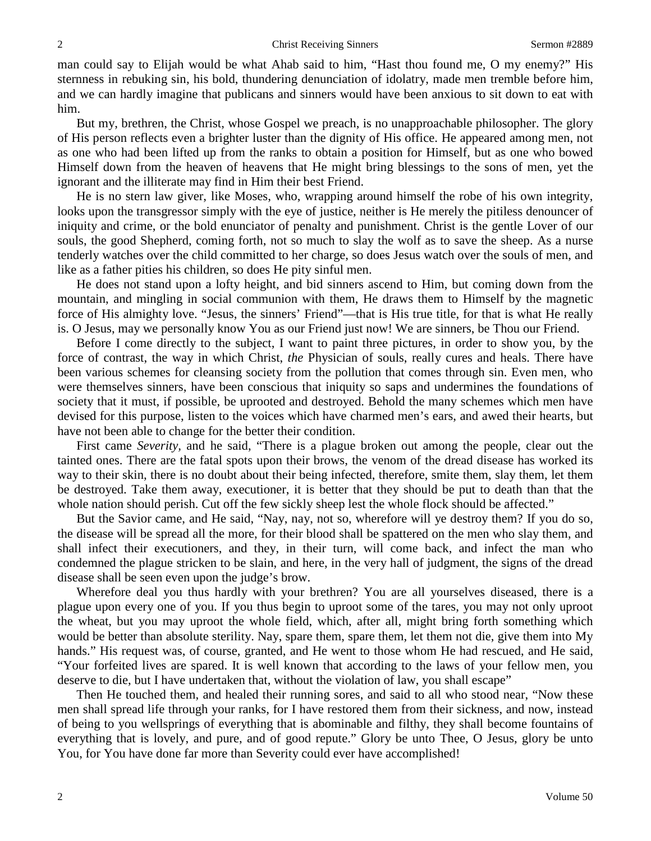man could say to Elijah would be what Ahab said to him, "Hast thou found me, O my enemy?" His sternness in rebuking sin, his bold, thundering denunciation of idolatry, made men tremble before him, and we can hardly imagine that publicans and sinners would have been anxious to sit down to eat with him.

But my, brethren, the Christ, whose Gospel we preach, is no unapproachable philosopher. The glory of His person reflects even a brighter luster than the dignity of His office. He appeared among men, not as one who had been lifted up from the ranks to obtain a position for Himself, but as one who bowed Himself down from the heaven of heavens that He might bring blessings to the sons of men, yet the ignorant and the illiterate may find in Him their best Friend.

He is no stern law giver, like Moses, who, wrapping around himself the robe of his own integrity, looks upon the transgressor simply with the eye of justice, neither is He merely the pitiless denouncer of iniquity and crime, or the bold enunciator of penalty and punishment. Christ is the gentle Lover of our souls, the good Shepherd, coming forth, not so much to slay the wolf as to save the sheep. As a nurse tenderly watches over the child committed to her charge, so does Jesus watch over the souls of men, and like as a father pities his children, so does He pity sinful men.

He does not stand upon a lofty height, and bid sinners ascend to Him, but coming down from the mountain, and mingling in social communion with them, He draws them to Himself by the magnetic force of His almighty love. "Jesus, the sinners' Friend"—that is His true title, for that is what He really is. O Jesus, may we personally know You as our Friend just now! We are sinners, be Thou our Friend.

Before I come directly to the subject, I want to paint three pictures, in order to show you, by the force of contrast, the way in which Christ, *the* Physician of souls, really cures and heals. There have been various schemes for cleansing society from the pollution that comes through sin. Even men, who were themselves sinners, have been conscious that iniquity so saps and undermines the foundations of society that it must, if possible, be uprooted and destroyed. Behold the many schemes which men have devised for this purpose, listen to the voices which have charmed men's ears, and awed their hearts, but have not been able to change for the better their condition.

First came *Severity,* and he said, "There is a plague broken out among the people, clear out the tainted ones. There are the fatal spots upon their brows, the venom of the dread disease has worked its way to their skin, there is no doubt about their being infected, therefore, smite them, slay them, let them be destroyed. Take them away, executioner, it is better that they should be put to death than that the whole nation should perish. Cut off the few sickly sheep lest the whole flock should be affected."

But the Savior came, and He said, "Nay, nay, not so, wherefore will ye destroy them? If you do so, the disease will be spread all the more, for their blood shall be spattered on the men who slay them, and shall infect their executioners, and they, in their turn, will come back, and infect the man who condemned the plague stricken to be slain, and here, in the very hall of judgment, the signs of the dread disease shall be seen even upon the judge's brow.

Wherefore deal you thus hardly with your brethren? You are all yourselves diseased, there is a plague upon every one of you. If you thus begin to uproot some of the tares, you may not only uproot the wheat, but you may uproot the whole field, which, after all, might bring forth something which would be better than absolute sterility. Nay, spare them, spare them, let them not die, give them into My hands." His request was, of course, granted, and He went to those whom He had rescued, and He said, "Your forfeited lives are spared. It is well known that according to the laws of your fellow men, you deserve to die, but I have undertaken that, without the violation of law, you shall escape"

Then He touched them, and healed their running sores, and said to all who stood near, "Now these men shall spread life through your ranks, for I have restored them from their sickness, and now, instead of being to you wellsprings of everything that is abominable and filthy, they shall become fountains of everything that is lovely, and pure, and of good repute." Glory be unto Thee, O Jesus, glory be unto You, for You have done far more than Severity could ever have accomplished!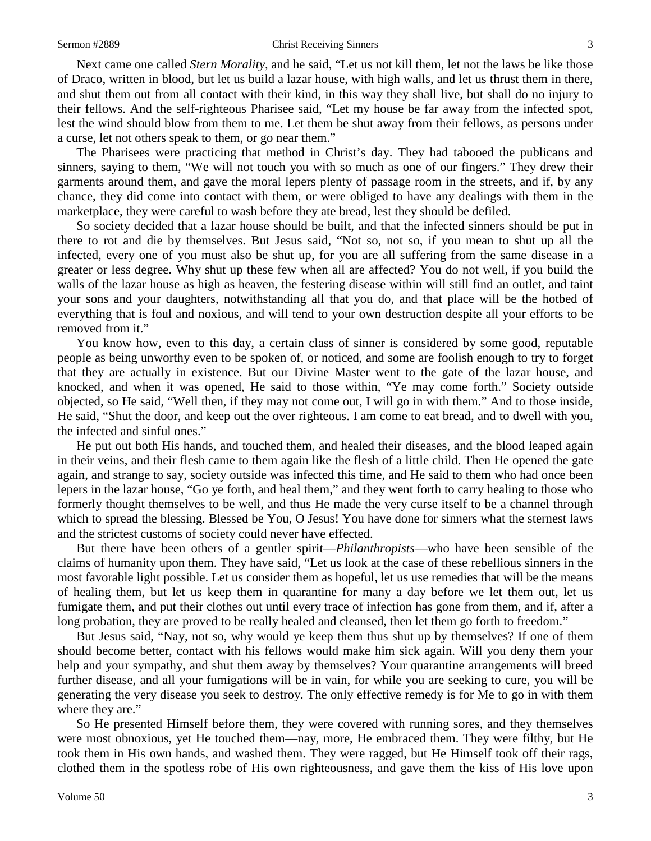#### Sermon #2889 Christ Receiving Sinners 3

Next came one called *Stern Morality,* and he said, "Let us not kill them, let not the laws be like those of Draco, written in blood, but let us build a lazar house, with high walls, and let us thrust them in there, and shut them out from all contact with their kind, in this way they shall live, but shall do no injury to their fellows. And the self-righteous Pharisee said, "Let my house be far away from the infected spot, lest the wind should blow from them to me. Let them be shut away from their fellows, as persons under a curse, let not others speak to them, or go near them."

The Pharisees were practicing that method in Christ's day. They had tabooed the publicans and sinners, saying to them, "We will not touch you with so much as one of our fingers." They drew their garments around them, and gave the moral lepers plenty of passage room in the streets, and if, by any chance, they did come into contact with them, or were obliged to have any dealings with them in the marketplace, they were careful to wash before they ate bread, lest they should be defiled.

So society decided that a lazar house should be built, and that the infected sinners should be put in there to rot and die by themselves. But Jesus said, "Not so, not so, if you mean to shut up all the infected, every one of you must also be shut up, for you are all suffering from the same disease in a greater or less degree. Why shut up these few when all are affected? You do not well, if you build the walls of the lazar house as high as heaven, the festering disease within will still find an outlet, and taint your sons and your daughters, notwithstanding all that you do, and that place will be the hotbed of everything that is foul and noxious, and will tend to your own destruction despite all your efforts to be removed from it."

You know how, even to this day, a certain class of sinner is considered by some good, reputable people as being unworthy even to be spoken of, or noticed, and some are foolish enough to try to forget that they are actually in existence. But our Divine Master went to the gate of the lazar house, and knocked, and when it was opened, He said to those within, "Ye may come forth." Society outside objected, so He said, "Well then, if they may not come out, I will go in with them." And to those inside, He said, "Shut the door, and keep out the over righteous. I am come to eat bread, and to dwell with you, the infected and sinful ones."

He put out both His hands, and touched them, and healed their diseases, and the blood leaped again in their veins, and their flesh came to them again like the flesh of a little child. Then He opened the gate again, and strange to say, society outside was infected this time, and He said to them who had once been lepers in the lazar house, "Go ye forth, and heal them," and they went forth to carry healing to those who formerly thought themselves to be well, and thus He made the very curse itself to be a channel through which to spread the blessing. Blessed be You, O Jesus! You have done for sinners what the sternest laws and the strictest customs of society could never have effected.

But there have been others of a gentler spirit—*Philanthropists*—who have been sensible of the claims of humanity upon them. They have said, "Let us look at the case of these rebellious sinners in the most favorable light possible. Let us consider them as hopeful, let us use remedies that will be the means of healing them, but let us keep them in quarantine for many a day before we let them out, let us fumigate them, and put their clothes out until every trace of infection has gone from them, and if, after a long probation, they are proved to be really healed and cleansed, then let them go forth to freedom."

But Jesus said, "Nay, not so, why would ye keep them thus shut up by themselves? If one of them should become better, contact with his fellows would make him sick again. Will you deny them your help and your sympathy, and shut them away by themselves? Your quarantine arrangements will breed further disease, and all your fumigations will be in vain, for while you are seeking to cure, you will be generating the very disease you seek to destroy. The only effective remedy is for Me to go in with them where they are."

So He presented Himself before them, they were covered with running sores, and they themselves were most obnoxious, yet He touched them—nay, more, He embraced them. They were filthy, but He took them in His own hands, and washed them. They were ragged, but He Himself took off their rags, clothed them in the spotless robe of His own righteousness, and gave them the kiss of His love upon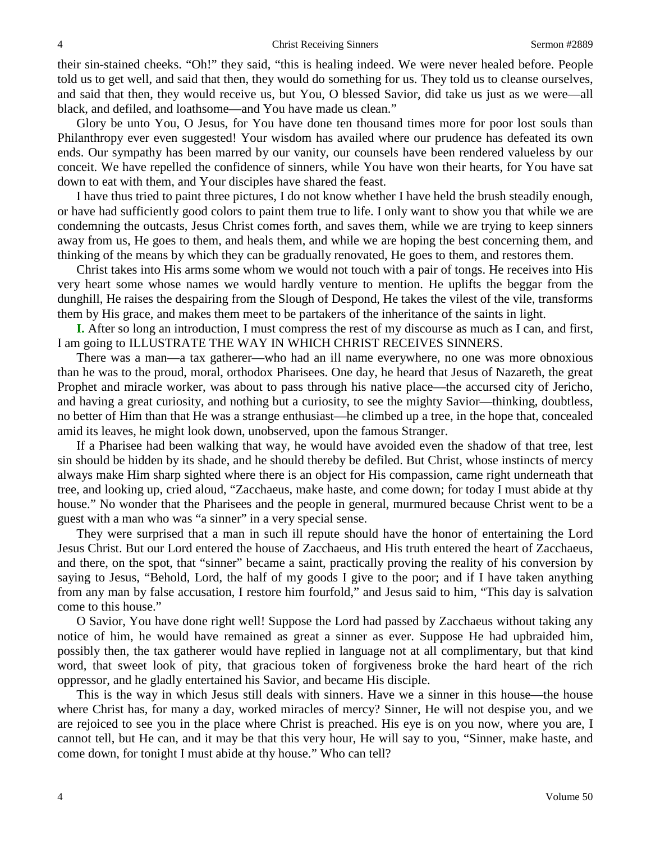their sin-stained cheeks. "Oh!" they said, "this is healing indeed. We were never healed before. People told us to get well, and said that then, they would do something for us. They told us to cleanse ourselves, and said that then, they would receive us, but You, O blessed Savior, did take us just as we were—all black, and defiled, and loathsome—and You have made us clean."

Glory be unto You, O Jesus, for You have done ten thousand times more for poor lost souls than Philanthropy ever even suggested! Your wisdom has availed where our prudence has defeated its own ends. Our sympathy has been marred by our vanity, our counsels have been rendered valueless by our conceit. We have repelled the confidence of sinners, while You have won their hearts, for You have sat down to eat with them, and Your disciples have shared the feast.

I have thus tried to paint three pictures, I do not know whether I have held the brush steadily enough, or have had sufficiently good colors to paint them true to life. I only want to show you that while we are condemning the outcasts, Jesus Christ comes forth, and saves them, while we are trying to keep sinners away from us, He goes to them, and heals them, and while we are hoping the best concerning them, and thinking of the means by which they can be gradually renovated, He goes to them, and restores them.

Christ takes into His arms some whom we would not touch with a pair of tongs. He receives into His very heart some whose names we would hardly venture to mention. He uplifts the beggar from the dunghill, He raises the despairing from the Slough of Despond, He takes the vilest of the vile, transforms them by His grace, and makes them meet to be partakers of the inheritance of the saints in light.

**I.** After so long an introduction, I must compress the rest of my discourse as much as I can, and first, I am going to ILLUSTRATE THE WAY IN WHICH CHRIST RECEIVES SINNERS.

There was a man—a tax gatherer—who had an ill name everywhere, no one was more obnoxious than he was to the proud, moral, orthodox Pharisees. One day, he heard that Jesus of Nazareth, the great Prophet and miracle worker, was about to pass through his native place—the accursed city of Jericho, and having a great curiosity, and nothing but a curiosity, to see the mighty Savior—thinking, doubtless, no better of Him than that He was a strange enthusiast—he climbed up a tree, in the hope that, concealed amid its leaves, he might look down, unobserved, upon the famous Stranger.

If a Pharisee had been walking that way, he would have avoided even the shadow of that tree, lest sin should be hidden by its shade, and he should thereby be defiled. But Christ, whose instincts of mercy always make Him sharp sighted where there is an object for His compassion, came right underneath that tree, and looking up, cried aloud, "Zacchaeus, make haste, and come down; for today I must abide at thy house." No wonder that the Pharisees and the people in general, murmured because Christ went to be a guest with a man who was "a sinner" in a very special sense.

They were surprised that a man in such ill repute should have the honor of entertaining the Lord Jesus Christ. But our Lord entered the house of Zacchaeus, and His truth entered the heart of Zacchaeus, and there, on the spot, that "sinner" became a saint, practically proving the reality of his conversion by saying to Jesus, "Behold, Lord, the half of my goods I give to the poor; and if I have taken anything from any man by false accusation, I restore him fourfold," and Jesus said to him, "This day is salvation come to this house."

O Savior, You have done right well! Suppose the Lord had passed by Zacchaeus without taking any notice of him, he would have remained as great a sinner as ever. Suppose He had upbraided him, possibly then, the tax gatherer would have replied in language not at all complimentary, but that kind word, that sweet look of pity, that gracious token of forgiveness broke the hard heart of the rich oppressor, and he gladly entertained his Savior, and became His disciple.

This is the way in which Jesus still deals with sinners. Have we a sinner in this house—the house where Christ has, for many a day, worked miracles of mercy? Sinner, He will not despise you, and we are rejoiced to see you in the place where Christ is preached. His eye is on you now, where you are, I cannot tell, but He can, and it may be that this very hour, He will say to you, "Sinner, make haste, and come down, for tonight I must abide at thy house." Who can tell?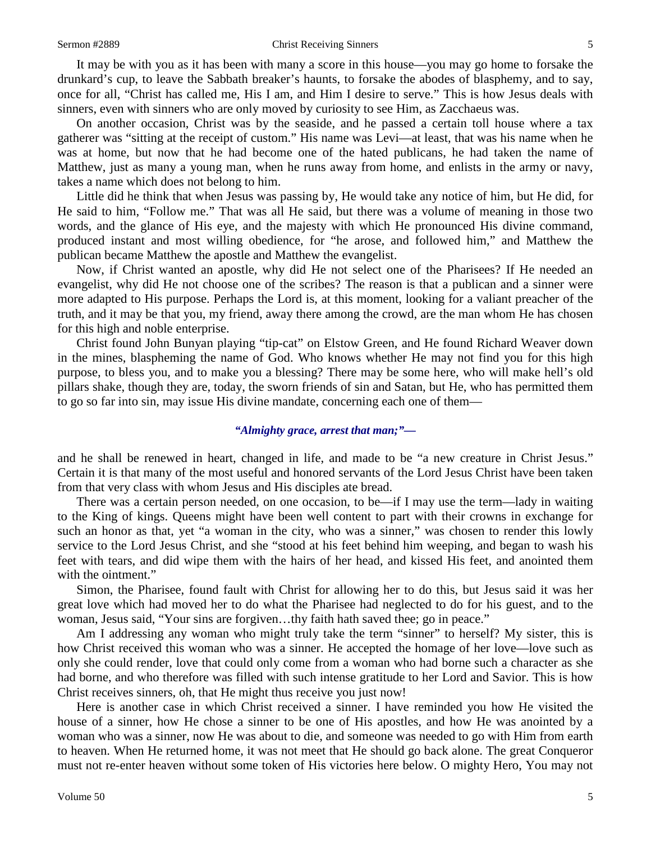#### Sermon #2889 Christ Receiving Sinners 5

It may be with you as it has been with many a score in this house—you may go home to forsake the drunkard's cup, to leave the Sabbath breaker's haunts, to forsake the abodes of blasphemy, and to say, once for all, "Christ has called me, His I am, and Him I desire to serve." This is how Jesus deals with sinners, even with sinners who are only moved by curiosity to see Him, as Zacchaeus was.

On another occasion, Christ was by the seaside, and he passed a certain toll house where a tax gatherer was "sitting at the receipt of custom." His name was Levi—at least, that was his name when he was at home, but now that he had become one of the hated publicans, he had taken the name of Matthew, just as many a young man, when he runs away from home, and enlists in the army or navy, takes a name which does not belong to him.

Little did he think that when Jesus was passing by, He would take any notice of him, but He did, for He said to him, "Follow me." That was all He said, but there was a volume of meaning in those two words, and the glance of His eye, and the majesty with which He pronounced His divine command, produced instant and most willing obedience, for "he arose, and followed him," and Matthew the publican became Matthew the apostle and Matthew the evangelist.

Now, if Christ wanted an apostle, why did He not select one of the Pharisees? If He needed an evangelist, why did He not choose one of the scribes? The reason is that a publican and a sinner were more adapted to His purpose. Perhaps the Lord is, at this moment, looking for a valiant preacher of the truth, and it may be that you, my friend, away there among the crowd, are the man whom He has chosen for this high and noble enterprise.

Christ found John Bunyan playing "tip-cat" on Elstow Green, and He found Richard Weaver down in the mines, blaspheming the name of God. Who knows whether He may not find you for this high purpose, to bless you, and to make you a blessing? There may be some here, who will make hell's old pillars shake, though they are, today, the sworn friends of sin and Satan, but He, who has permitted them to go so far into sin, may issue His divine mandate, concerning each one of them—

## *"Almighty grace, arrest that man;"—*

and he shall be renewed in heart, changed in life, and made to be "a new creature in Christ Jesus." Certain it is that many of the most useful and honored servants of the Lord Jesus Christ have been taken from that very class with whom Jesus and His disciples ate bread.

There was a certain person needed, on one occasion, to be—if I may use the term—lady in waiting to the King of kings. Queens might have been well content to part with their crowns in exchange for such an honor as that, yet "a woman in the city, who was a sinner," was chosen to render this lowly service to the Lord Jesus Christ, and she "stood at his feet behind him weeping, and began to wash his feet with tears, and did wipe them with the hairs of her head, and kissed His feet, and anointed them with the ointment."

Simon, the Pharisee, found fault with Christ for allowing her to do this, but Jesus said it was her great love which had moved her to do what the Pharisee had neglected to do for his guest, and to the woman, Jesus said, "Your sins are forgiven…thy faith hath saved thee; go in peace."

Am I addressing any woman who might truly take the term "sinner" to herself? My sister, this is how Christ received this woman who was a sinner. He accepted the homage of her love—love such as only she could render, love that could only come from a woman who had borne such a character as she had borne, and who therefore was filled with such intense gratitude to her Lord and Savior. This is how Christ receives sinners, oh, that He might thus receive you just now!

Here is another case in which Christ received a sinner. I have reminded you how He visited the house of a sinner, how He chose a sinner to be one of His apostles, and how He was anointed by a woman who was a sinner, now He was about to die, and someone was needed to go with Him from earth to heaven. When He returned home, it was not meet that He should go back alone. The great Conqueror must not re-enter heaven without some token of His victories here below. O mighty Hero, You may not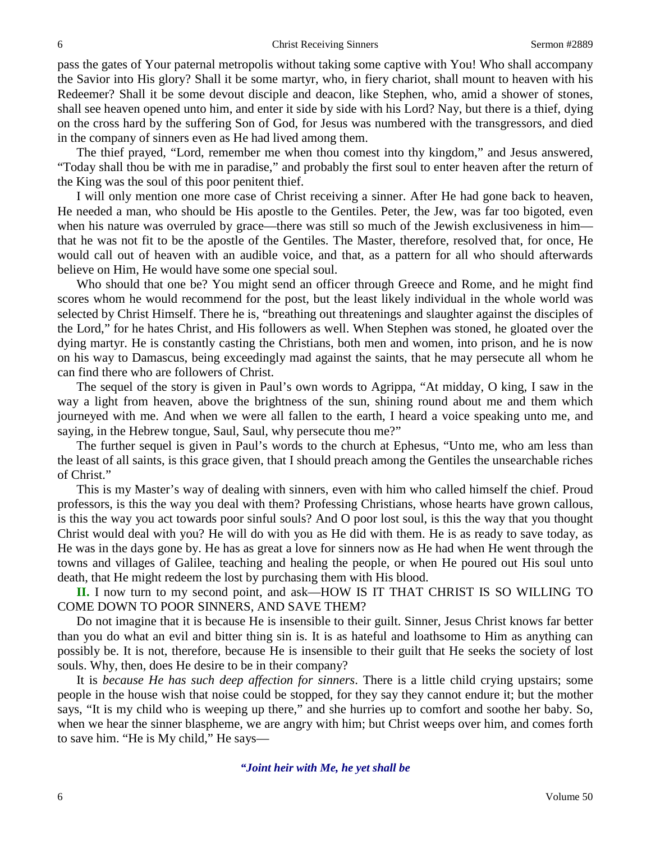pass the gates of Your paternal metropolis without taking some captive with You! Who shall accompany the Savior into His glory? Shall it be some martyr, who, in fiery chariot, shall mount to heaven with his Redeemer? Shall it be some devout disciple and deacon, like Stephen, who, amid a shower of stones, shall see heaven opened unto him, and enter it side by side with his Lord? Nay, but there is a thief, dying on the cross hard by the suffering Son of God, for Jesus was numbered with the transgressors, and died in the company of sinners even as He had lived among them.

The thief prayed, "Lord, remember me when thou comest into thy kingdom," and Jesus answered, "Today shall thou be with me in paradise," and probably the first soul to enter heaven after the return of the King was the soul of this poor penitent thief.

I will only mention one more case of Christ receiving a sinner. After He had gone back to heaven, He needed a man, who should be His apostle to the Gentiles. Peter, the Jew, was far too bigoted, even when his nature was overruled by grace—there was still so much of the Jewish exclusiveness in him that he was not fit to be the apostle of the Gentiles. The Master, therefore, resolved that, for once, He would call out of heaven with an audible voice, and that, as a pattern for all who should afterwards believe on Him, He would have some one special soul.

Who should that one be? You might send an officer through Greece and Rome, and he might find scores whom he would recommend for the post, but the least likely individual in the whole world was selected by Christ Himself. There he is, "breathing out threatenings and slaughter against the disciples of the Lord," for he hates Christ, and His followers as well. When Stephen was stoned, he gloated over the dying martyr. He is constantly casting the Christians, both men and women, into prison, and he is now on his way to Damascus, being exceedingly mad against the saints, that he may persecute all whom he can find there who are followers of Christ.

The sequel of the story is given in Paul's own words to Agrippa, "At midday, O king, I saw in the way a light from heaven, above the brightness of the sun, shining round about me and them which journeyed with me. And when we were all fallen to the earth, I heard a voice speaking unto me, and saying, in the Hebrew tongue, Saul, Saul, why persecute thou me?"

The further sequel is given in Paul's words to the church at Ephesus, "Unto me, who am less than the least of all saints, is this grace given, that I should preach among the Gentiles the unsearchable riches of Christ."

This is my Master's way of dealing with sinners, even with him who called himself the chief. Proud professors, is this the way you deal with them? Professing Christians, whose hearts have grown callous, is this the way you act towards poor sinful souls? And O poor lost soul, is this the way that you thought Christ would deal with you? He will do with you as He did with them. He is as ready to save today, as He was in the days gone by. He has as great a love for sinners now as He had when He went through the towns and villages of Galilee, teaching and healing the people, or when He poured out His soul unto death, that He might redeem the lost by purchasing them with His blood.

**II.** I now turn to my second point, and ask—HOW IS IT THAT CHRIST IS SO WILLING TO COME DOWN TO POOR SINNERS, AND SAVE THEM?

Do not imagine that it is because He is insensible to their guilt. Sinner, Jesus Christ knows far better than you do what an evil and bitter thing sin is. It is as hateful and loathsome to Him as anything can possibly be. It is not, therefore, because He is insensible to their guilt that He seeks the society of lost souls. Why, then, does He desire to be in their company?

It is *because He has such deep affection for sinners*. There is a little child crying upstairs; some people in the house wish that noise could be stopped, for they say they cannot endure it; but the mother says, "It is my child who is weeping up there," and she hurries up to comfort and soothe her baby. So, when we hear the sinner blaspheme, we are angry with him; but Christ weeps over him, and comes forth to save him. "He is My child," He says—

*"Joint heir with Me, he yet shall be*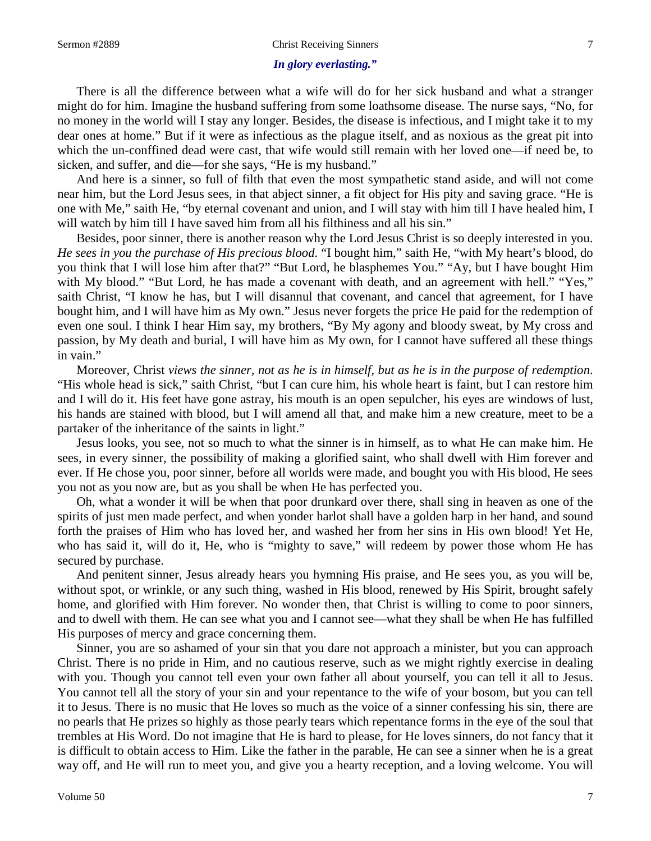### Sermon #2889 Christ Receiving Sinners 7

## *In glory everlasting."*

There is all the difference between what a wife will do for her sick husband and what a stranger might do for him. Imagine the husband suffering from some loathsome disease. The nurse says, "No, for no money in the world will I stay any longer. Besides, the disease is infectious, and I might take it to my dear ones at home." But if it were as infectious as the plague itself, and as noxious as the great pit into which the un-conffined dead were cast, that wife would still remain with her loved one—if need be, to sicken, and suffer, and die—for she says, "He is my husband."

And here is a sinner, so full of filth that even the most sympathetic stand aside, and will not come near him, but the Lord Jesus sees, in that abject sinner, a fit object for His pity and saving grace. "He is one with Me," saith He, "by eternal covenant and union, and I will stay with him till I have healed him, I will watch by him till I have saved him from all his filthiness and all his sin."

Besides, poor sinner, there is another reason why the Lord Jesus Christ is so deeply interested in you. *He sees in you the purchase of His precious blood*. "I bought him," saith He, "with My heart's blood, do you think that I will lose him after that?" "But Lord, he blasphemes You." "Ay, but I have bought Him with My blood." "But Lord, he has made a covenant with death, and an agreement with hell." "Yes," saith Christ, "I know he has, but I will disannul that covenant, and cancel that agreement, for I have bought him, and I will have him as My own." Jesus never forgets the price He paid for the redemption of even one soul. I think I hear Him say, my brothers, "By My agony and bloody sweat, by My cross and passion, by My death and burial, I will have him as My own, for I cannot have suffered all these things in vain."

Moreover, Christ *views the sinner, not as he is in himself, but as he is in the purpose of redemption*. "His whole head is sick," saith Christ, "but I can cure him, his whole heart is faint, but I can restore him and I will do it. His feet have gone astray, his mouth is an open sepulcher, his eyes are windows of lust, his hands are stained with blood, but I will amend all that, and make him a new creature, meet to be a partaker of the inheritance of the saints in light."

Jesus looks, you see, not so much to what the sinner is in himself, as to what He can make him. He sees, in every sinner, the possibility of making a glorified saint, who shall dwell with Him forever and ever. If He chose you, poor sinner, before all worlds were made, and bought you with His blood, He sees you not as you now are, but as you shall be when He has perfected you.

Oh, what a wonder it will be when that poor drunkard over there, shall sing in heaven as one of the spirits of just men made perfect, and when yonder harlot shall have a golden harp in her hand, and sound forth the praises of Him who has loved her, and washed her from her sins in His own blood! Yet He, who has said it, will do it, He, who is "mighty to save," will redeem by power those whom He has secured by purchase.

And penitent sinner, Jesus already hears you hymning His praise, and He sees you, as you will be, without spot, or wrinkle, or any such thing, washed in His blood, renewed by His Spirit, brought safely home, and glorified with Him forever. No wonder then, that Christ is willing to come to poor sinners, and to dwell with them. He can see what you and I cannot see—what they shall be when He has fulfilled His purposes of mercy and grace concerning them.

Sinner, you are so ashamed of your sin that you dare not approach a minister, but you can approach Christ. There is no pride in Him, and no cautious reserve, such as we might rightly exercise in dealing with you. Though you cannot tell even your own father all about yourself, you can tell it all to Jesus. You cannot tell all the story of your sin and your repentance to the wife of your bosom, but you can tell it to Jesus. There is no music that He loves so much as the voice of a sinner confessing his sin, there are no pearls that He prizes so highly as those pearly tears which repentance forms in the eye of the soul that trembles at His Word. Do not imagine that He is hard to please, for He loves sinners, do not fancy that it is difficult to obtain access to Him. Like the father in the parable, He can see a sinner when he is a great way off, and He will run to meet you, and give you a hearty reception, and a loving welcome. You will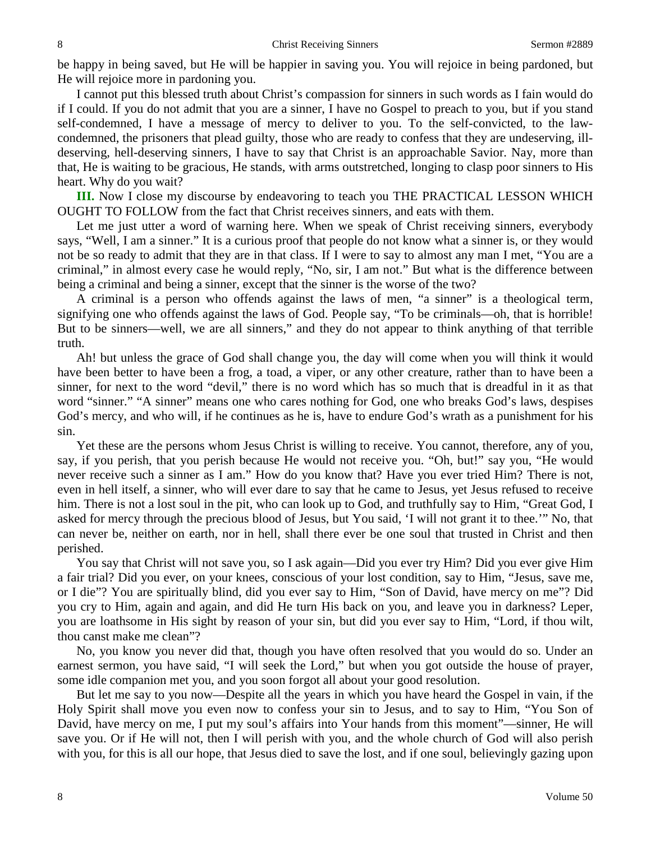be happy in being saved, but He will be happier in saving you. You will rejoice in being pardoned, but He will rejoice more in pardoning you.

I cannot put this blessed truth about Christ's compassion for sinners in such words as I fain would do if I could. If you do not admit that you are a sinner, I have no Gospel to preach to you, but if you stand self-condemned, I have a message of mercy to deliver to you. To the self-convicted, to the lawcondemned, the prisoners that plead guilty, those who are ready to confess that they are undeserving, illdeserving, hell-deserving sinners, I have to say that Christ is an approachable Savior. Nay, more than that, He is waiting to be gracious, He stands, with arms outstretched, longing to clasp poor sinners to His heart. Why do you wait?

**III.** Now I close my discourse by endeavoring to teach you THE PRACTICAL LESSON WHICH OUGHT TO FOLLOW from the fact that Christ receives sinners, and eats with them.

Let me just utter a word of warning here. When we speak of Christ receiving sinners, everybody says, "Well, I am a sinner." It is a curious proof that people do not know what a sinner is, or they would not be so ready to admit that they are in that class. If I were to say to almost any man I met, "You are a criminal," in almost every case he would reply, "No, sir, I am not." But what is the difference between being a criminal and being a sinner, except that the sinner is the worse of the two?

A criminal is a person who offends against the laws of men, "a sinner" is a theological term, signifying one who offends against the laws of God. People say, "To be criminals—oh, that is horrible! But to be sinners—well, we are all sinners," and they do not appear to think anything of that terrible truth.

Ah! but unless the grace of God shall change you, the day will come when you will think it would have been better to have been a frog, a toad, a viper, or any other creature, rather than to have been a sinner, for next to the word "devil," there is no word which has so much that is dreadful in it as that word "sinner." "A sinner" means one who cares nothing for God, one who breaks God's laws, despises God's mercy, and who will, if he continues as he is, have to endure God's wrath as a punishment for his sin.

Yet these are the persons whom Jesus Christ is willing to receive. You cannot, therefore, any of you, say, if you perish, that you perish because He would not receive you. "Oh, but!" say you, "He would never receive such a sinner as I am." How do you know that? Have you ever tried Him? There is not, even in hell itself, a sinner, who will ever dare to say that he came to Jesus, yet Jesus refused to receive him. There is not a lost soul in the pit, who can look up to God, and truthfully say to Him, "Great God, I asked for mercy through the precious blood of Jesus, but You said, 'I will not grant it to thee.'" No, that can never be, neither on earth, nor in hell, shall there ever be one soul that trusted in Christ and then perished.

You say that Christ will not save you, so I ask again—Did you ever try Him? Did you ever give Him a fair trial? Did you ever, on your knees, conscious of your lost condition, say to Him, "Jesus, save me, or I die"? You are spiritually blind, did you ever say to Him, "Son of David, have mercy on me"? Did you cry to Him, again and again, and did He turn His back on you, and leave you in darkness? Leper, you are loathsome in His sight by reason of your sin, but did you ever say to Him, "Lord, if thou wilt, thou canst make me clean"?

No, you know you never did that, though you have often resolved that you would do so. Under an earnest sermon, you have said, "I will seek the Lord," but when you got outside the house of prayer, some idle companion met you, and you soon forgot all about your good resolution.

But let me say to you now—Despite all the years in which you have heard the Gospel in vain, if the Holy Spirit shall move you even now to confess your sin to Jesus, and to say to Him, "You Son of David, have mercy on me, I put my soul's affairs into Your hands from this moment"—sinner, He will save you. Or if He will not, then I will perish with you, and the whole church of God will also perish with you, for this is all our hope, that Jesus died to save the lost, and if one soul, believingly gazing upon